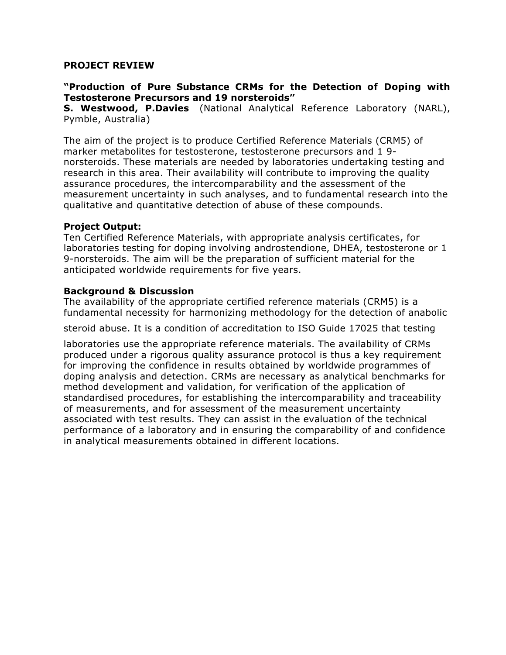## **PROJECT REVIEW**

# **"Production of Pure Substance CRMs for the Detection of Doping with Testosterone Precursors and 19 norsteroids"**

**S. Westwood, P.Davies** (National Analytical Reference Laboratory (NARL), Pymble, Australia)

The aim of the project is to produce Certified Reference Materials (CRM5) of marker metabolites for testosterone, testosterone precursors and 1 9 norsteroids. These materials are needed by laboratories undertaking testing and research in this area. Their availability will contribute to improving the quality assurance procedures, the intercomparability and the assessment of the measurement uncertainty in such analyses, and to fundamental research into the qualitative and quantitative detection of abuse of these compounds.

## **Project Output:**

Ten Certified Reference Materials, with appropriate analysis certificates, for laboratories testing for doping involving androstendione, DHEA, testosterone or 1 9-norsteroids. The aim will be the preparation of sufficient material for the anticipated worldwide requirements for five years.

#### **Background & Discussion**

The availability of the appropriate certified reference materials (CRM5) is a fundamental necessity for harmonizing methodology for the detection of anabolic

steroid abuse. It is a condition of accreditation to ISO Guide 17025 that testing

laboratories use the appropriate reference materials. The availability of CRMs produced under a rigorous quality assurance protocol is thus a key requirement for improving the confidence in results obtained by worldwide programmes of doping analysis and detection. CRMs are necessary as analytical benchmarks for method development and validation, for verification of the application of standardised procedures, for establishing the intercomparability and traceability of measurements, and for assessment of the measurement uncertainty associated with test results. They can assist in the evaluation of the technical performance of a laboratory and in ensuring the comparability of and confidence in analytical measurements obtained in different locations.